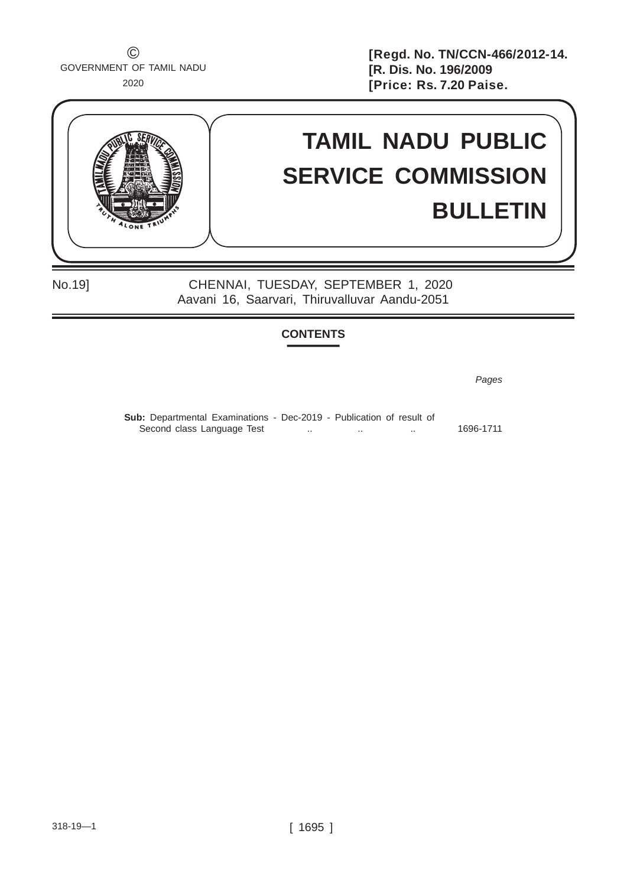$\odot$  GOVERNMENT OF TAMIL NADU 2020

**[Regd. No. TN/CCN-466/2012-14. [R. Dis. No. 196/2009 [Price: Rs. 7.20 Paise.** 

# **TAMIL NADU PUBLIC SERVICE COMMISSION BULLETIN**

No.19] CHENNAI, TUESDAY, SEPTEMBER 1, 2020 Aavani 16, Saarvari, Thiruvalluvar Aandu-2051

## **CONTENTS**

*Pages*

Sub: Departmental Examinations - Dec-2019 - Publication of result of Second class Language Test ... ... ... ... ... ... ... ... 1696-1711

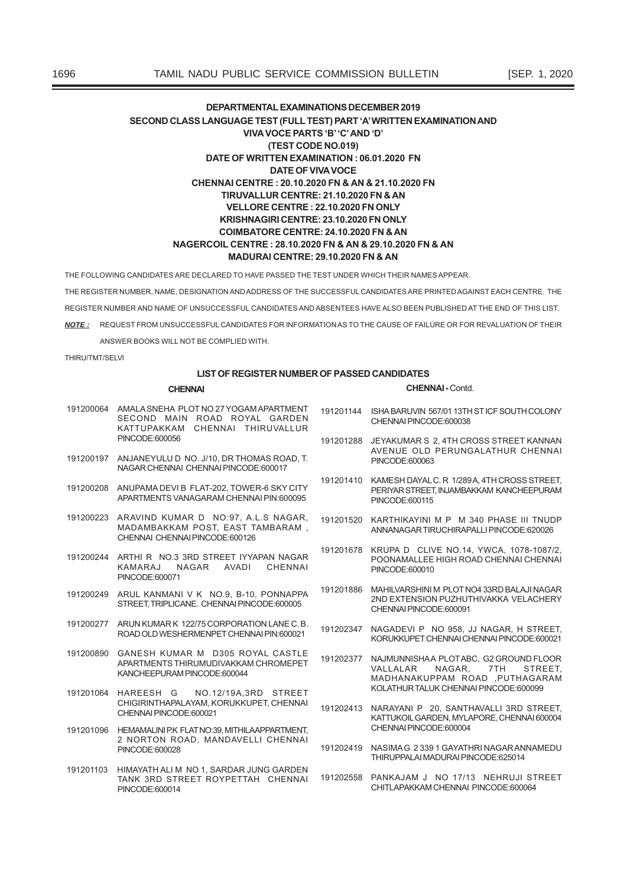THE FOLLOWING CANDIDATES ARE DECLARED TO HAVE PASSED THE TEST UNDER WHICH THEIR NAMES APPEAR.

THE REGISTER NUMBER, NAME, DESIGNATION AND ADDRESS OF THE SUCCESSFUL CANDIDATES ARE PRINTED AGAINST EACH CENTRE. THE REGISTER NUMBER AND NAME OF UNSUCCESSFUL CANDIDATES AND ABSENTEES HAVE ALSO BEEN PUBLISHED AT THE END OF THIS LIST. NOTE: REQUEST FROM UNSUCCESSFUL CANDIDATES FOR INFORMATION AS TO THE CAUSE OF FAILURE OR FOR REVALUATION OF THEIR

ANSWER BOOKS WILL NOT BE COMPLIED WITH.

THIRU/TMT/SELVI

## **LIST OF REGISTER NUMBER OF PASSED CANDIDATES**

#### CHENNAI

PINCODE:600014

## CHENNAI - Contd.

CHITLAPAKKAM CHENNAI PINCODE:600064

|           | 191200064 AMALA SNEHA PLOT NO 27 YOGAM APARTMENT<br>SECOND MAIN ROAD ROYAL GARDEN<br>KATTUPAKKAM CHENNAI THIRUVALLUR | 191201144 | ISHA BARUVIN 567/01 13TH ST ICF SOUTH COLONY<br>CHENNAI PINCODE:600038                                                                 |
|-----------|----------------------------------------------------------------------------------------------------------------------|-----------|----------------------------------------------------------------------------------------------------------------------------------------|
|           | PINCODE:600056                                                                                                       | 191201288 | JEYAKUMAR S 2, 4TH CROSS STREET KANNAN<br>AVENUE OLD PERUNGALATHUR CHENNA                                                              |
|           | 191200197 ANJANEYULU D NO. J/10, DR THOMAS ROAD, T.<br>NAGAR CHENNAI CHENNAI PINCODE:600017                          |           | PINCODE:600063                                                                                                                         |
| 191200208 | ANUPAMA DEVI B FLAT-202. TOWER-6 SKY CITY<br>APARTMENTS VANAGARAM CHENNAI PIN:600095                                 |           | 191201410 KAMESH DAYALC. R 1/289A, 4TH CROSS STREET<br>PERIYAR STREET, INJAMBAKKAM KANCHEEPURAM<br>PINCODE:600115                      |
| 191200223 | ARAVIND KUMAR D NO:97, A.L.S NAGAR,<br>MADAMBAKKAM POST, EAST TAMBARAM,<br>CHENNAI CHENNAI PINCODE:600126            | 191201520 | KARTHIKAYINI M P M 340 PHASE III TNUDP<br>ANNANAGAR TIRUCHIRAPALLI PINCODE:620026                                                      |
|           | 191200244 ARTHI R NO.3 3RD STREET IYYAPAN NAGAR<br>KAMARAJ NAGAR AVADI<br>CHENNAI<br>PINCODE:600071                  | 191201678 | KRUPA D CLIVE NO.14, YWCA, 1078-1087/2<br>POONAMALLEE HIGH ROAD CHENNAI CHENNA<br>PINCODE:600010                                       |
|           | 191200249 ARUL KANMANI V K NO.9, B-10, PONNAPPA<br>STREET. TRIPLICANE. CHENNAI PINCODE:600005                        | 191201886 | MAHILVARSHINI M PLOT NO4 33RD BALAJI NAGAR<br>2ND EXTENSION PUZHUTHIVAKKA VELACHERY<br>CHENNAI PINCODE:600091                          |
|           | 191200277 ARUN KUMAR K 122/75 CORPORATION LANE C.B.<br>ROAD OLD WESHERMENPET CHENNAI PIN:600021                      |           | 191202347 NAGADEVI P NO 958, JJ NAGAR, H STREET<br>KORUKKUPET CHENNAI CHENNAI PINCODE:600021                                           |
| 191200890 | GANESH KUMAR M D305 ROYAL CASTLE<br>APARTMENTS THIRUMUDIVAKKAM CHROMEPET<br>KANCHEEPURAM PINCODE:600044              | 191202377 | NAJMUNNISHAA PLOTABC, G2 GROUND FLOOR<br>NAGAR. 7TH<br>VALLALAR<br><b>STREET</b><br>MADHANAKUPPAM ROAD ,PUTHAGARAM                     |
| 191201064 | HAREESH G NO.12/19A,3RD STREET<br>CHIGIRINTHAPALAYAM, KORUKKUPET, CHENNAI<br>CHENNAI PINCODE:600021                  |           | KOLATHUR TALUK CHENNAI PINCODE:600099<br>191202413 NARAYANI P 20, SANTHAVALLI 3RD STREET<br>KATTUKOIL GARDEN, MYLAPORE, CHENNAI 600004 |
| 191201096 | HEMAMALINI P.K FLAT NO:39, MITHILAAPPARTMENT,<br>2 NORTON ROAD, MANDAVELLI CHENNAI                                   |           | CHENNAI PINCODE:600004                                                                                                                 |
|           | PINCODE:600028                                                                                                       |           | 191202419 NASIMAG 2 339 1 GAYATHRI NAGAR ANNAMEDU<br>THIRUPPALAI MADURAI PINCODE:625014                                                |
|           | 191201103 HIMAYATH ALI M NO 1, SARDAR JUNG GARDEN<br>TANK 3RD STREET ROYPETTAH CHENNAI                               |           | 191202558 PANKAJAM J NO 17/13 NEHRUJI STREET                                                                                           |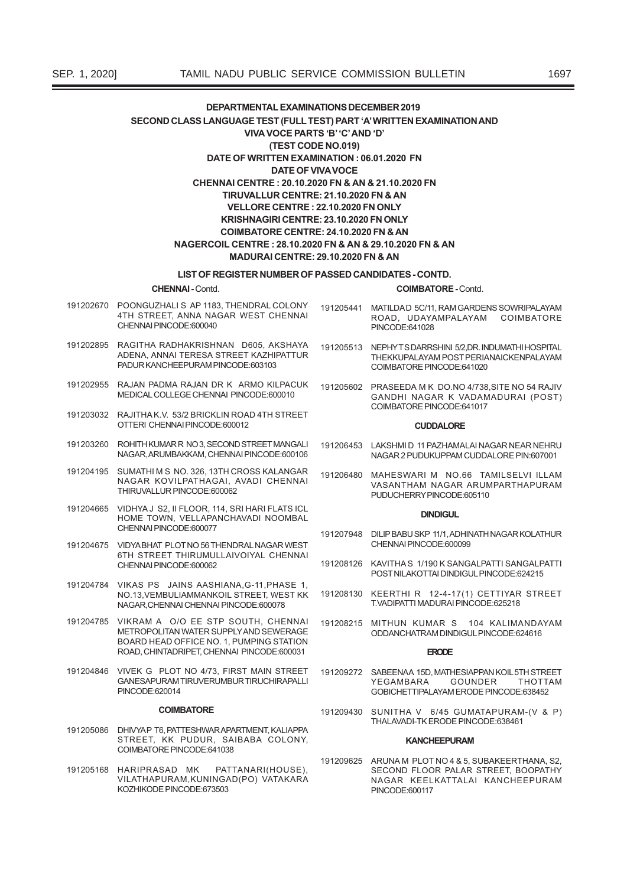## LIST OF REGISTER NUMBER OF PASSED CANDIDATES - CONTD.

**CHENNAI - Contd.** 

PADUR KANCHEEPURAM PINCODE:603103

MEDICAL COLLEGE CHENNAL PINCODE 600010

NAGAR, ARUMBAKKAM, CHENNAI PINCODE:600106

NAGAR KOVILPATHAGAI, AVADI CHENNAI

HOME TOWN, VELLAPANCHAVADI NOOMBAL

6TH STREET THIRUMULLAIVOIYAL CHENNAI

NO 13 VEMBULIAMMANKOIL STREET WEST KK

METROPOLITAN WATER SUPPLY AND SEWERAGE

BOARD HEAD OFFICE NO. 1. PUMPING STATION ROAD, CHINTADRIPET, CHENNAI PINCODE:600031

GANESAPURAM TIRUVERUMBUR TIRUCHIRAPALLI

STREET, KK PUDUR, SAIBABA COLONY,

VILATHAPURAM, KUNINGAD(PO) VATAKARA

PATTANARI(HOUSE)

NAGAR CHENNAI CHENNAI PINCODE:600078 191204785 VIKRAM A O/O FF STP SOUTH CHENNAL

191202955 RAJAN PADMA RAJAN DR K ARMO KILPACUK

191203032 RAJITHAK.V. 53/2 BRICKLIN ROAD 4TH STREET OTTERI CHENNAI PINCODE:600012

191203260 ROHITH KUMAR R NO.3 SECOND STREET MANGALL

191204195 SUMATHUM S NO 326 13TH CROSS KALANGAR

191204665 VIDHYA J S2, II FLOOR, 114, SRI HARI FLATS ICL

191204675 VIDYABHAT PLOT NO 56 THENDRAL NAGAR WEST

191204784 VIKAS PS JAINS AASHIANA.G-11.PHASE 1.

191204846 VIVEK G PLOT NO 4/73. FIRST MAIN STREET

**COIMRATORE** 

191205086 DHIVYAP T6, PATTESHWAR APARTMENT, KALIAPPA

COIMBATORE PINCODE:641038

KOZHIKODE PINCODE:673503

PINCODE:620014

191205168 HARIPRASAD MK

THIRUVALLUR PINCODE:600062

CHENNALPINCODE:600077

CHENNAI PINCODE:600062

**COIMBATORE - Contd.** 

- 191202670 POONGUZHALLS AP 1183 THENDRAL COLONY 191205441 MATILDAD 5C/11, RAM GARDENS SOWRIPALAYAM 4TH STREET, ANNA NAGAR WEST CHENNAI ROAD, UDAYAMPALAYAM COIMBATORE CHENNAI PINCODE:600040 PINCODE:641028 191202895 RAGITHA RADHAKRISHNAN D605, AKSHAYA 191205513 NEPHYTSDARRSHINI 5/2.DR. INDUMATHI HOSPITAL ADENA, ANNAI TERESA STREET KAZHIPATTUR
	- THEKKUPALAYAM POST PERIANAICKENPALAYAM COIMBATORE PINCODE:641020
		- 191205602 PRASEEDA M K DO.NO 4/738.SITE NO 54 RAJIV GANDHI NAGAR K VADAMADURAI (POST) COIMBATORE PINCODE:641017

#### **CUDDALORE**

- 191206453 LAKSHMID 11 PAZHAMALAI NAGAR NEAR NEHRU NAGAR 2 PUDUKUPPAM CUDDALORE PIN:607001
- 191206480 MAHESWARI M NO.66 TAMILSELVI ILLAM VASANTHAM NAGAR ARUMPARTHAPURAM PUDUCHERRY PINCODE:605110

#### **DINDIGUL**

- 191207948 DILIP BABU SKP 11/1, ADHINATH NAGAR KOLATHUR CHENNAI PINCODE:600099
- 191208126 KAVITHAS 1/190 K SANGALPATTI SANGALPATTI POST NILAKOTTAI DINDIGUL PINCODE:624215
- 191208130 KEERTHI R 12-4-17(1) CETTIYAR STREET T.VADIPATTI MADURAI PINCODE:625218
- 191208215 MITHUN KUMAR S 104 KALIMANDAYAM ODDANCHATRAM DINDIGUL PINCODE:624616

#### **ERODE**

- 191209272 SABEENAA 15D, MATHESIAPPAN KOIL 5TH STREET YEGAMBARA GOUNDER **THOTTAM** GOBICHETTIPALAYAM ERODE PINCODE:638452
- 191209430 SUNITHA V 6/45 GUMATAPURAM-(V & P) THAI AVADI-TK FRODE PINCODE 638461

#### **KANCHEEPURAM**

191209625 ARUNA M PLOT NO 4 & 5, SUBAKEERTHANA, S2, SECOND FLOOR PALAR STREET, BOOPATHY NAGAR KEELKATTALAI KANCHEEPURAM PINCODE:600117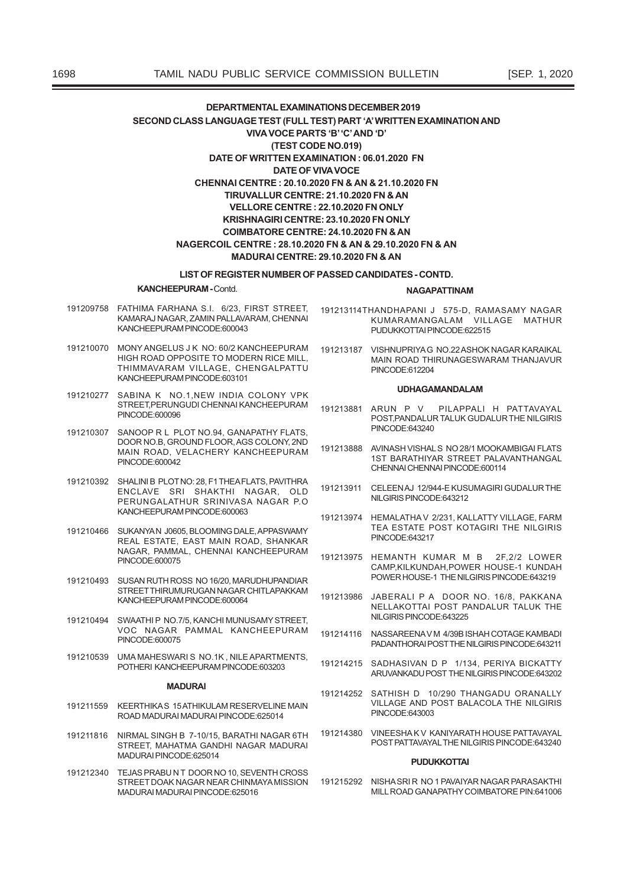#### LIST OF REGISTER NUMBER OF PASSED CANDIDATES - CONTD.

#### **KANCHEEPURAM - Contd.**

#### **NAGAPATTINAM**

- 191209758 FATHIMA FARHANA S.I. 6/23, FIRST STREET, KAMARAJ NAGAR, ZAMIN PALLAVARAM, CHENNAI KANCHEFPURAM PINCODE:600043
- 191210070 MONY ANGELUS J K NO: 60/2 KANCHEEPURAM HIGH ROAD OPPOSITE TO MODERN RICE MILL. THIMMAVARAM VILLAGE, CHENGALPATTU KANCHEEPURAM PINCODE:603101
- 191210277 SABINA K NO.1, NEW INDIA COLONY VPK STREET, PERUNGUDI CHENNAI KANCHEEPURAM PINCODE:600096
- 191210307 SANOOP R L PLOT NO.94, GANAPATHY FLATS, DOOR NO.B, GROUND FLOOR, AGS COLONY, 2ND MAIN ROAD, VELACHERY KANCHEEPURAM PINCODE:600042
- 191210392 SHALINIB PLOTNO: 28, F1 THEA FLATS, PAVITHRA ENCLAVE SRI SHAKTHI NAGAR, OLD PERUNGALATHUR SRINIVASA NAGAR P.O. KANCHEEPURAM PINCODE:600063
- 191210466 SUKANYAN J0605, BLOOMING DALE, APPASWAMY REAL ESTATE, EAST MAIN ROAD, SHANKAR NAGAR, PAMMAL, CHENNAI KANCHEEPURAM PINCODE:600075
- 191210493 SUSAN RUTH ROSS NO 16/20, MARUDHUPANDIAR STREET THIRUMURUGAN NAGAR CHITLAPAKKAM KANCHEEPURAM PINCODE:600064
- 191210494 SWAATHIP NO.7/5, KANCHI MUNUSAMY STREET, VOC NAGAR PAMMAL KANCHEEPURAM PINCODE:600075
- 191210539 UMA MAHESWARIS NO.1K, NILE APARTMENTS, POTHERI KANCHEEPURAM PINCODE:603203

#### **MADURAL**

- 191211559 KEERTHIKAS 15 ATHIKULAM RESERVELINE MAIN ROAD MADURALMADURALPINCODE:625014
- 191211816 NIRMAL SINGH B 7-10/15, BARATHI NAGAR 6TH STREET MAHATMA GANDHI NAGAR MADURAL MADURALPINCODE:625014
- 191212340 TEJAS PRABUNT DOOR NO 10, SEVENTH CROSS STREET DOAK NAGAR NEAR CHINMAYA MISSION MADURAI MADURAI PINCODE:625016
- 191213114THANDHAPANI J 575-D, RAMASAMY NAGAR KUMARAMANGALAM VILLAGE MATHUR PUDUKKOTTAI PINCODE:622515
- 191213187 VISHNUPRIYAG NO.22 ASHOK NAGAR KARAIKAL MAIN ROAD THIRUNAGESWARAM THANJAVUR PINCODE:612204

#### **UDHAGAMANDALAM**

- 191213881 ARUN P V PILAPPALI H PATTAVAYAL POST, PANDALUR TALUK GUDALUR THE NILGIRIS PINCODE:643240
- 191213888 AVINASH VISHALS NO 28/1 MOOKAMBIGAI FLATS 1ST BARATHIYAR STREET PALAVANTHANGAL CHENNAI CHENNAI PINCODE:600114
- 191213911 CELEENAJ 12/944-E KUSUMAGIRI GUDALUR THE NILGIRIS PINCODE:643212
- 191213974 HEMALATHA V 2/231, KALLATTY VILLAGE, FARM TEA ESTATE POST KOTAGIRI THE NILGIRIS PINCODE:643217
- 191213975 HEMANTH KUMAR M B 2F,2/2 LOWER CAMP, KILKUNDAH, POWER HOUSE-1 KUNDAH POWER HOUSE-1 THE NILGIRIS PINCODE:643219
- 191213986 JABERALL P A DOOR NO. 16/8 PAKKANA NELLAKOTTAL POST PANDALUR TALUK THE NIL GIRIS PINCODE 643225
- 191214116 NASSARFFNAVM 4/39B ISHAH COTAGE KAMBADI PADANTHORAI POST THE NILGIRIS PINCODE:643211
- 191214215 SADHASIVAN D P 1/134, PERIYA BICKATTY ARUVANKADU POST THE NILGIRIS PINCODE:643202
- 191214252 SATHISH D 10/290 THANGADU ORANALLY VILLAGE AND POST BALACOLA THE NILGIRIS PINCODE:643003
- 191214380 VINEESHAK V KANIYARATH HOUSE PATTAVAYAL POST PATTAVAYAL THE NILGIRIS PINCODE:643240

## **PUDUKKOTTAI**

191215292 NISHA SRIR NO 1 PAVAIYAR NAGAR PARASAKTHI MILL ROAD GANAPATHY COIMBATORE PIN:641006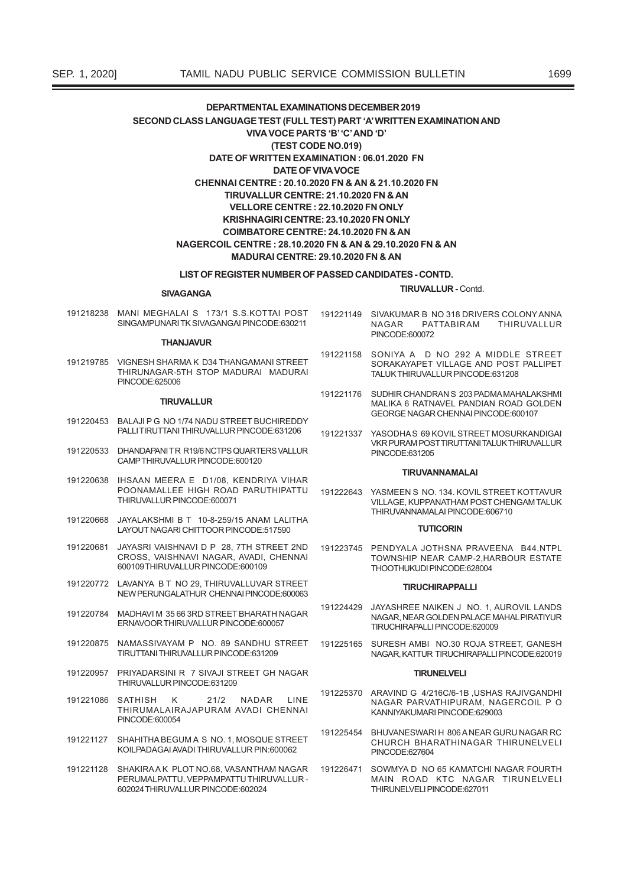#### LIST OF REGISTER NUMBER OF PASSED CANDIDATES - CONTD.

#### **SIVAGANGA**

**TIRUVALLUR - Contd.** 

191218238 MANI MEGHALAI S 173/1 S.S.KOTTAI POST SINGAMPUNARITK SIVAGANGAI PINCODE:630211

#### **THANJAVUR**

191219785 VIGNESH SHARMA K D34 THANGAMANI STREET THIRUNAGAR-5TH STOP MADURAI MADURAI PINCODE:625006

#### **TIRUVALLUR**

- 191220453 BALAJIPG NO 1/74 NADU STREET BUCHIREDDY PALLITIRUTTANI THIRUVALLUR PINCODE:631206
- 191220533 DHANDAPANITR R19/6 NCTPS OLIARTERS VALLUR CAMPTHIRUVALLUR PINCODE:600120
- 191220638 IHSAAN MEERA E D1/08, KENDRIYA VIHAR POONAMALLEE HIGH ROAD PARUTHIPATTU THIRUVALLUR PINCODE:600071
- 191220668 JAYALAKSHMI B T 10-8-259/15 ANAM LALITHA LAYOUT NAGARI CHITTOOR PINCODE:517590
- 191220681 JAYASRI VAISHNAVI D P 28, 7TH STREET 2ND CROSS, VAISHNAVI NAGAR, AVADI, CHENNAI 600109THIRUVALLUR PINCODE:600109
- 191220772 LAVANYA B T NO 29, THIRUVALLUVAR STREET NEW PERUNGALATHUR CHENNAI PINCODE:600063
- 191220784 MADHAVIM 35 66 3RD STREET BHARATH NAGAR FRNAVOOR THIRUVALLUR PINCODE 600057
- 191220875 NAMASSIVAYAM P NO. 89 SANDHU STREET TIRUTTANI THIRUVALLUR PINCODE:631209
- 191220957 PRIYADARSINI R 7 SIVAJI STREET GH NAGAR THIRUVALLUR PINCODE:631209
- 21/2 NADAR LINE 191221086 SATHISH K THIRUMALAIRAJAPURAM AVADI CHENNAI PINCODE:600054
- 191221127 SHAHITHA BEGUM A S NO. 1 MOSOUF STREET KOILPADAGAI AVADI THIRUVALLUR PIN:600062
- 191221128 SHAKIRA A K PLOT NO.68, VASANTHAM NAGAR PERUMALPATTU, VEPPAMPATTU THIRUVALLUR -602024 THIRUVALLUR PINCODE:602024
- 191221149 SIVAKUMAR B NO 318 DRIVERS COLONY ANNA **NAGAR** PATTABIRAM THIRUVALLUR PINCODE:600072
- 191221158 SONIYA A D NO 292 A MIDDLE STREET SORAKAYAPET VILLAGE AND POST PALLIPET TALUK THIRUVALLUR PINCODE:631208
- 191221176 SUDHIR CHANDRAN S 203 PADMA MAHALAKSHMI MALIKA 6 RATNAVEL PANDIAN ROAD GOLDEN GEORGE NAGAR CHENNAI PINCODE:600107
- 191221337 YASODHAS 69 KOVIL STREET MOSURKANDIGAI VKR PURAM POST TIRUTTANI TALUK THIRUVALLUR PINCODE:631205

#### **TIRUVANNAMALAI**

191222643 YASMEEN S NO. 134. KOVIL STREET KOTTAVUR VILLAGE, KUPPANATHAM POST CHENGAM TALUK THIRI IVANNAMAI AI PINCODE:606710

#### **TUTICORIN**

191223745 PENDYALA JOTHSNA PRAVEENA B44,NTPL TOWNSHIP NEAR CAMP-2.HARBOUR ESTATE THOOTHUKUDI PINCODE:628004

## **TIRUCHIRAPPALLI**

- 191224429 JAYASHREE NAIKEN J NO. 1, AUROVIL LANDS NAGAR, NEAR GOLDEN PALACE MAHAL PIRATIYUR TIRUCHIRAPALLI PINCODE:620009
- 191225165 SURESH AMBL NO.30 ROJA STREET GANESH NAGAR, KATTUR TIRUCHIRAPALLI PINCODE:620019

#### **TIRUNELVELI**

- 191225370 ARAVIND G 4/216C/6-1B USHAS RAJIVGANDHI NAGAR PARVATHIPURAM, NAGERCOIL P O KANNIYAKUMARI PINCODE:629003
- 191225454 BHUVANESWARI H 806 A NEAR GURU NAGAR RC CHURCH BHARATHINAGAR THIRUNELVELI PINCODE:627604
- 191226471 SOWMYA D NO 65 KAMATCHI NAGAR FOURTH MAIN ROAD KTC NAGAR TIRUNELVELI THIRUNELVELI PINCODE:627011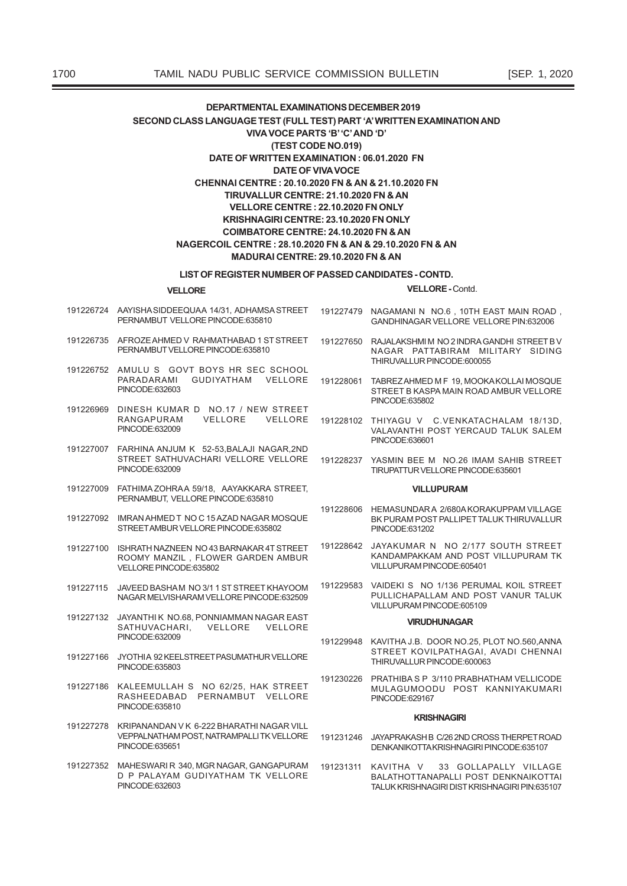## LIST OF REGISTER NUMBER OF PASSED CANDIDATES - CONTD.

#### **VELLORE**

#### VELLORE - Contd.

- PERNAMBLIT VELLORE PINCODE 635810
- 191226735 AFROZE AHMED V RAHMATHABAD 1 ST STREET PERNAMBUT VELLORE PINCODE:635810
- 191226752 AMULU S GOVT BOYS HR SEC SCHOOL **PARADARAMI** GUDIYATHAM VELLORE PINCODE:632603
- 191226969 DINESH KUMAR D NO.17 / NEW STREET RANGAPURAM VELLORE VELLORE PINCODE:632009
- 191227007 FARHINA ANJUM K 52-53, BALAJI NAGAR, 2ND STREET SATHUVACHARI VELLORE VELLORE PINCODE:632009
- 191227009 FATHIMA ZOHRA A 59/18 AAYAKKARA STREET PERNAMBUT, VELLORE PINCODE:635810
- 191227092 IMRAN AHMED T NO C 15 AZAD NAGAR MOSQUE STREET AMBUR VELLORE PINCODE 635802
- 191227100 ISHRATH NAZNEEN NO 43 BARNAKAR 4T STREET ROOMY MANZIL, FLOWER GARDEN AMBUR VELLORE PINCODE:635802
- 191227115 JAVEED BASHAM NO 3/1 1 ST STREET KHAYOOM NAGAR MELVISHARAM VELLORE PINCODE:632509
- 191227132 JAYANTHI K NO.68, PONNIAMMAN NAGAR EAST SATHUVACHARI, VELLORE VELLORE PINCODE:632009
- 191227166 JYOTHIA 92 KEELSTREET PASUMATHUR VELLORE PINCODE:635803
- 191227186 KALEEMULLAH S NO 62/25. HAK STREET RASHEEDABAD PERNAMBUT VELLORE PINCODE:635810
- 191227278 KRIPANANDAN VK 6-222 BHARATHI NAGAR VILL VEPPALNATHAM POST. NATRAMPALLI TK VELLORE PINCODE:635651
- 191227352 MAHESWARLR 340 MGR NAGAR GANGAPURAM D P PALAYAM GUDIYATHAM TK VELLORE PINCODE:632603
- 191226724 AAYISHASIDDEEQUAA 14/31, ADHAMSASTREET 191227479 NAGAMANI N NO.6, 10TH EAST MAIN ROAD, GANDHINAGAR VELLORE VELLORE PIN:632006
	- 191227650 RAJALAKSHMIM NO 2 INDRA GANDHISTREET BV NAGAR PATTABIRAM MILITARY SIDING THIRUVALLUR PINCODE:600055
	- 191228061 TABREZAHMED M F 19, MOOKA KOLLAI MOSQUE STREET B KASPA MAIN ROAD AMBUR VELLORE PINCODE:635802
	- 191228102 THIYAGU V C.VENKATACHALAM 18/13D. VALAVANTHI POST YERCAUD TALUK SALEM PINCODE:636601
	- 191228237 YASMIN BEE M NO.26 IMAM SAHIB STREET TIRUPATTUR VELLORE PINCODE:635601

#### **VILLUPURAM**

- 191228606 HEMASUNDAR A 2/680A KORAKUPPAM VILLAGE BK PURAM POST PALLIPET TALUK THIRUVALLUR PINCODE:631202
- 191228642 JAYAKUMAR N NO 2/177 SOUTH STREET KANDAMPAKKAM AND POST VILLUPURAM TK VILLUPURAM PINCODE:605401
- 191229583 VAIDEKLS NO 1/136 PERUMAL KOIL STREET PULLICHAPALLAM AND POST VANUR TALUK VILLUPURAM PINCODE:605109

## **VIDI INHI INACAD**

- 191229948 KAVITHA J.B. DOOR NO.25, PLOT NO.560, ANNA STREET KOVILPATHAGAI, AVADI CHENNAI THIRUVALLUR PINCODE:600063
- 191230226 PRATHIBA S P 3/110 PRABHATHAM VELLICODE MULAGUMOODU POST KANNIYAKUMARI PINCODE:629167

#### **KRISHNAGIRI**

- 191231246 JAYAPRAKASH B C/26 2ND CROSS THERPET ROAD DENKANIKOTTAKRISHNAGIRI PINCODE:635107
- 33 GOLLAPALLY VILLAGE 191231311 KAVITHA V BALATHOTTANAPALLI POST DENKNAIKOTTAI TAI UK KRISHNAGIRI DIST KRISHNAGIRI PIN:635107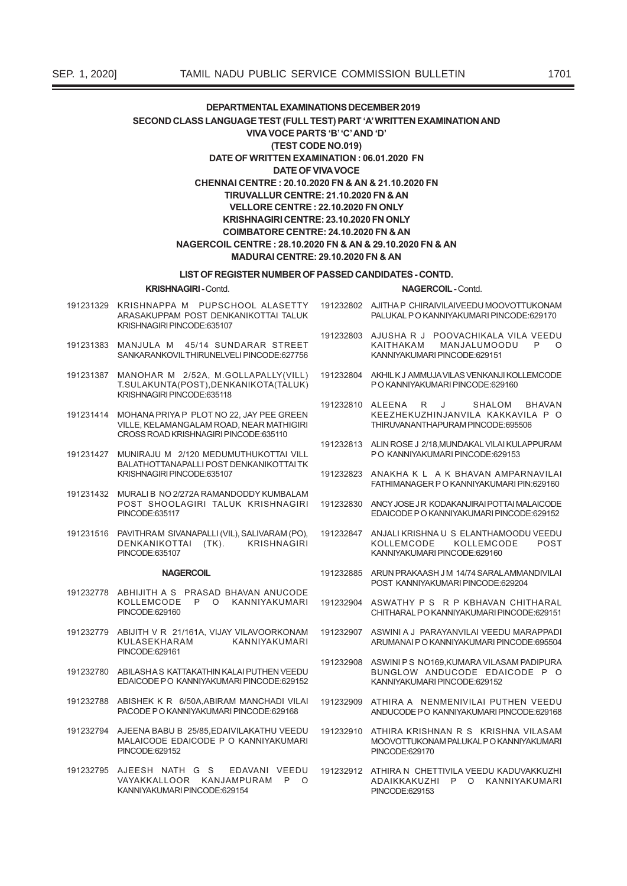#### LIST OF REGISTER NUMBER OF PASSED CANDIDATES - CONTD.

**KRISHNAGIRI - Contd.** 

- 191231329 KRISHNAPPA M PUPSCHOOL ALASETTY ARASAKUPPAM POST DENKANIKOTTAI TALUK KRISHNAGIRI PINCODE:635107
- 191231383 MANJULA M 45/14 SUNDARAR STREET SANKARANKOVILTHIRUNELVELI PINCODE:627756
- 191231387 MANOHAR M 2/52A, M.GOLLAPALLY(VILL) T.SULAKUNTA(POST), DENKANIKOTA(TALUK) KRISHNAGIRI PINCODE:635118
- 191231414 MOHANA PRIYA P PLOT NO 22 JAY PEE GREEN VILLE, KELAMANGALAM ROAD, NEAR MATHIGIRI CROSS ROAD KRISHNAGIRI PINCODE:635110
- 191231427 MUNIRAJU M 2/120 MEDUMUTHUKOTTAI VILL BALATHOTTANAPALLI POST DENKANIKOTTAI TK KRISHNAGIRI PINCODE:635107
- 191231432 MURALI B NO 2/272A RAMANDODDY KUMBALAM POST SHOOLAGIRI TALUK KRISHNAGIRI PINCODE:635117
- 191231516 PAVITHRAM SIVANAPALLI (VIL), SALIVARAM (PO), DENKANIKOTTAI (TK). **KRISHNAGIRI** PINCODE:635107

#### **NAGERCOIL**

- 191232778 ABHIJITH A S PRASAD BHAVAN ANUCODE<br>KOLLEMCODE P O KANNIYAKUMARI PINCODE:629160
- 191232779 ABIJITH V R 21/161A, VIJAY VILAVOORKONAM KUI ASFKHARAM KANNIYAKUMARI PINCODE:629161
- 191232780 ABILASHAS KATTAKATHIN KALAI PUTHEN VEEDU EDAICODE PO KANNIYAKUMARI PINCODE:629152
- 191232788 ABISHEK K R 6/50A.ABIRAM MANCHADI VILAI PACODE PO KANNIYAKI IMARI PINCODE:629168
- 191232794 A JEENA RARILR 25/85 EDAIVILAKATHLI VEEDIJ MALAICODE EDAICODE P O KANNIYAKUMARI PINCODE:629152
- 191232795 AJEESH NATH G S EDAVANI VEEDU VAYAKKALLOOR KANJAMPURAM P O KANNIYAKUMARI PINCODE:629154
- NAGERCOIL Contd.
- 191232802 A IITHA P CHIRAIVII AIVEEDU MOOVOTTUKONAM PALUKAL PO KANNIYAKUMARI PINCODE:629170
- 191232803 AJUSHA R J POOVACHIKALA VILA VEEDU MANJALUMOODU KAITHAKAM  $P$  $\Omega$ KANNIYAKUMARI PINCODE:629151
- 191232804 AKHIL KJ AMMUJA VILAS VENKANJI KOLLEMCODE PO KANNIYAKUMARI PINCODE:629160
- 191232810 ALEENA  $\mathsf{R}$ SHALOM **RHAVAN** KEEZHEKUZHINJANVILA KAKKAVILA P O THIRI IVANANTHAPI IRAM PINCODE 695506
- 191232813 ALIN ROSE J 2/18 MUNDAKAL VILALKULAPPURAM PO KANNIYAKUMARI PINCODE:629153
- 191232823 ANAKHA K L A K BHAVAN AMPARNAVILAI FATHIMANAGER P O KANNIYAKUMARI PIN:629160
- 191232830 ANCY JOSE JR KODAKANJIRAI POTTAI MAI AICODE EDAICODE P O KANNIYAKUMARI PINCODE:629152
- 191232847 ANJALI KRISHNA U S ELANTHAMOODU VEEDU KOLLEMCODE KOLLEMCODE POST KANNIYAKUMARI PINCODE:629160
- 191232885 ARUN PRAKAASH JM 14/74 SARALAMMANDIVILAI POST KANNIYAKUMARI PINCODE:629204
- 191232904 ASWATHY P S R P KBHAVAN CHITHARAL CHITHARAL PO KANNIYAKUMARI PINCODE:629151
- 191232907 ASWINI A J PARAYANVILAI VEEDU MARAPPADI ARLIMANALPO KANNIVAKI IMARI PINCODE:695504
- 191232908 ASWINI PS NO169, KUMARA VILASAM PADIPURA BUNGLOW ANDUCODE EDAICODE P O KANNIYAKUMARI PINCODE:629152
- 191232909 ATHIRA A NENMENIVILAI PUTHEN VEEDU ANDUCODE PO KANNIYAKUMARI PINCODE:629168
- 191232910 ATHIRA KRISHNAN R S KRISHNA VILASAM MOOVOTTUKONAM PALUKAL PO KANNIYAKUMARI PINCODE:629170
- 191232912 ATHIRA N CHETTIVILA VEEDU KADUVAKKUZHI ADAIKKAKUZHI P O KANNIYAKUMARI PINCODE:629153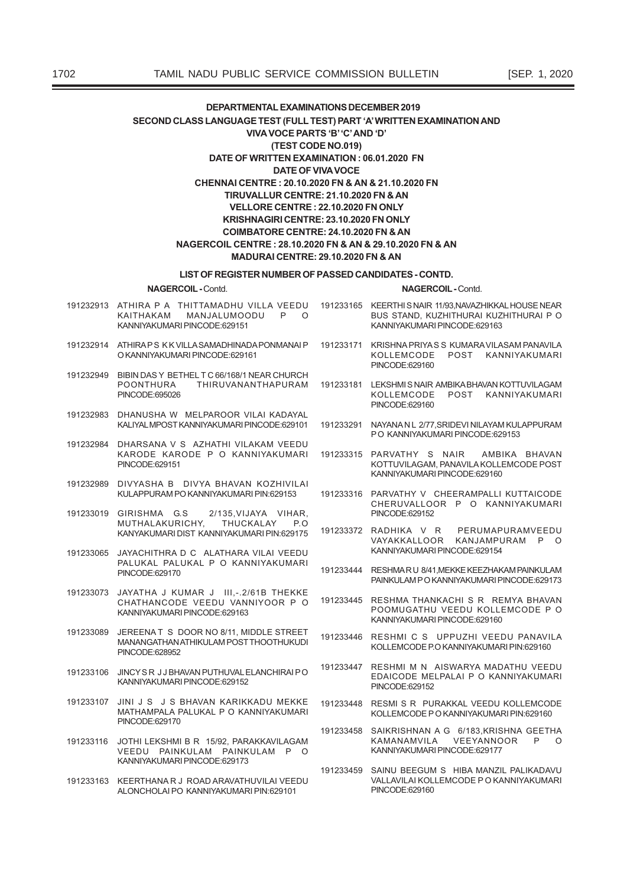#### LIST OF REGISTER NUMBER OF PASSED CANDIDATES - CONTD.

NAGERCOIL - Contd.

NAGERCOIL - Contd.

191232913 ATHIRA P A THITTAMADHU VILLA VEEDU 191233165 KEERTHISNAIR 11/93,NAVAZHIKKALHOUSENEAR KAITHAKAM MANJALUMOODU BUS STAND, KUZHITHURAI KUZHITHURAI P O  $\mathsf{P}$  $\circ$ KANNIYAKUMARI PINCODE:629151 KANNIYAKUMARI PINCODE:629163 191232914 ATHIRAPS KKVILLASAMADHINADAPONMANAIP 191233171 KRISHNA PRIYASS KUMARA VILASAM PANAVILA O KANNIYAKUMARI PINCODE:629161 KOLLEMCODE POST KANNIYAKUMARI PINCODE:629160 191232949 BIBIN DAS Y BETHEL T C 66/168/1 NEAR CHURCH **POONTHURA** THIRUVANANTHAPURAM 191233181 LEKSHMIS NAIR AMBIKA BHAVAN KOTTUVILAGAM PINCODE:695026 KOLLEMCODE POST KANNIYAKUMARI PINCODE:629160 191232983 DHANUSHA W MELPAROOR VILAI KADAYAL KALIYAL MPOST KANNIYAKUMARI PINCODE:629101 191233291 NAYANA N L 2/77, SRIDEVI NILAYAM KULAPPURAM PO KANNIYAKUMARI PINCODE:629153 191232984 DHARSANA V S AZHATHI VILAKAM VEEDU KARODE KARODE P O KANNIYAKUMARI 191233315 PARVATHY S NAIR AMBIKA BHAVAN PINCODE:629151 KOTTUVILAGAM, PANAVILA KOLLEMCODE POST KANNIYAKUMARI PINCODE:629160 191232989 DIVYASHA B DIVYA BHAVAN KOZHIVILAI KULAPPURAM PO KANNIYAKUMARI PIN:629153 191233316 PARVATHY V CHEERAMPALLI KUTTAICODE CHERUVALLOOR P O KANNIYAKUMARI 191233019 GIRISHMA G.S PINCODE:629152 2/135, VIJAYA VIHAR, MUTHALAKURICHY, THUCKALAY P.O. 191233372 RADHIKA V R PERUMAPURAMVEEDU KANYAKUMARI DIST KANNIYAKUMARI PIN:629175 VAYAKKALLOOR KANJAMPURAM P O KANNIYAKUMARI PINCODE:629154 191233065 JAYACHITHRA D C ALATHARA VILAI VEEDU PALUKAL PALUKAL P O KANNIYAKUMARI 191233444 RESHMARU 8/41, MEKKE KEEZHAKAM PAINKULAM PINCODE:629170 PAINKULAM PO KANNIYAKUMARI PINCODE 629173 191233073 JAYATHA J KUMAR J III,-.2/61B THEKKE 191233445 RESHMA THANKACHI S R REMYA BHAVAN CHATHANCODE VEEDU VANNIYOOR P O POOMUGATHU VEEDU KOLLEMCODE P O KANNIYAKUMARI PINCODE:629163 KANNIYAKUMARI PINCODE:629160 JEREENAT S DOOR NO 8/11. MIDDLE STREET 191233089 191233446 RESHMI C S UPPUZHI VEEDU PANAVILA MANANGATHAN ATHIKULAM POST THOOTHUKUDI KOLLEMCODE P.O KANNIYAKUMARI PIN:629160 PINCODE:628952 191233447 RESHMI M N AISWARYA MADATHU VEEDU 191233106 JINCY SR JJBHAVAN PUTHUVAL ELANCHIRAI PO EDAICODE MELPALAI P O KANNIYAKUMARI KANNIYAKUMARI PINCODE:629152 PINCODE:629152 191233107 JINI IS IS RHAVAN KARIKKADIL MEKKE 191233448 RESMI S R PURAKKAL VEEDU KOLLEMCODE MATHAMPALA PALUKAL P O KANNIYAKUMARI KOLL FMCODE P O KANNIYAKUMARI PIN:629160 PINCODE:629170 191233458 SAIKRISHNAN A G 6/183, KRISHNA GEETHA 191233116 JOTHI LEKSHMI B R 15/92, PARAKKAVILAGAM KAMANAMVILA VEEYANNOOR  $P$  $\circ$ VEEDU PAINKULAM PAINKULAM P O KANNIYAKUMARI PINCODE:629177 KANNIYAKUMARI PINCODE:629173 191233459 SAINU BEEGUM S HIBA MANZIL PALIKADAVU VALLAVILAI KOLLEMCODE P O KANNIYAKUMARI 191233163 KEERTHANAR J ROAD ARAVATHUVILAI VFFDU PINCODE:629160 ALONCHOLALPO KANNIYAKUMARI PIN 629101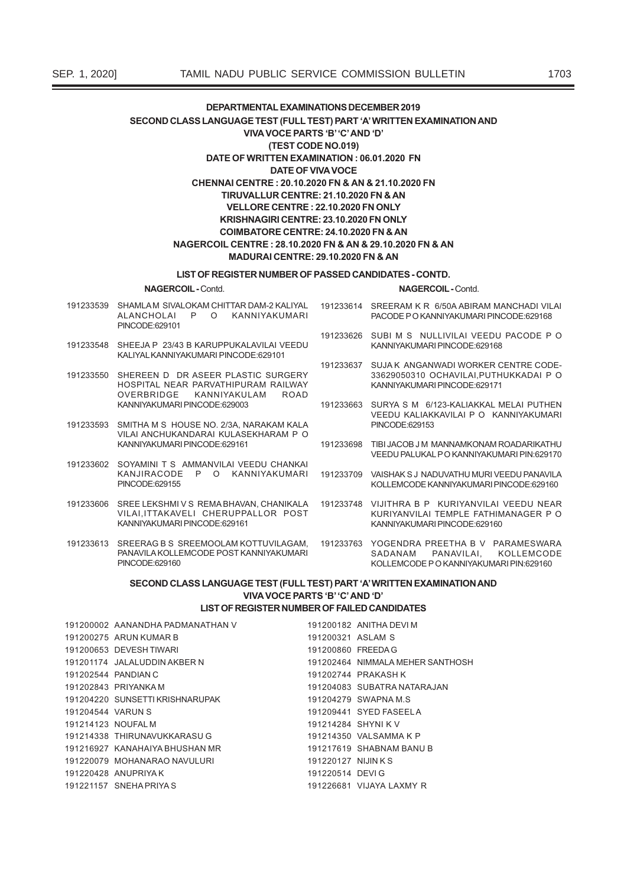#### LIST OF REGISTER NUMBER OF PASSED CANDIDATES - CONTD.

NAGERCOIL - Contd.

NAGERCOIL - Contd.

- 191233539 SHAMLAM SIVALOKAM CHITTAR DAM-2 KALIYAL ALANCHOLAI P O KANNIYAKUMARI PINCODE:629101
- 191233548 SHEEJA P 23/43 B KARUPPUKALAVILAI VEEDU KALIYAL KANNIYAKUMARI PINCODE:629101
- 191233550 SHEREEN D DR ASEER PLASTIC SURGERY HOSPITAL NEAR PARVATHIPURAM RAILWAY OVERBRIDGE KANNIYAKUI AM ROAD KANNIYAKUMARI PINCODE:629003
- 191233593 SMITHA M S HOUSE NO. 2/3A, NARAKAM KALA VILAI ANCHUKANDARAI KULASEKHARAM P O KANNIYAKUMARI PINCODE:629161
- 191233602 SOYAMINI T S AMMANVILAI VEEDU CHANKAI KANJIRACODE P O KANNIYAKUMARI PINCODE:629155
- 191233606 SREE LEKSHMIVS REMABHAVAN, CHANIKALA 191233748 VIJITHRA B P KURIYANVILAI VEEDU NEAR VILAI, ITTAKAVELI CHERUPPALLOR POST KANNIYAKUMARI PINCODE:629161
- 191233613 SREERAG B S SREEMOOLAM KOTTUVILAGAM, PANAVILA KOLLEMCODE POST KANNIYAKUMARI PINCODE:629160
- 191233614 SREERAM K R 6/50A ABIRAM MANCHADI VILAI PACODE P O KANNIYAKUMARI PINCODE:629168
	- 191233626 SUBI M S NULLIVILAI VEEDU PACODE P O KANNIYAKUMARI PINCODE:629168
	- 191233637 SUJAK ANGANWADI WORKER CENTRE CODE-33629050310 OCHAVILAI, PUTHUKKADAI P O KANNIYAKUMARI PINCODE:629171
	- 191233663 SURYA S M 6/123-KALIAKKAL MELAI PUTHEN VFEDU KALIAKKAVILAI P O KANNIYAKUMARI PINCODE:629153
	- 191233698 TIBLJACOB J M MANNAMKONAM ROADARIKATHU VEEDU PALUKAL PO KANNIYAKUMARI PIN:629170
- 191233709 VAISHAK S J NADUVATHU MURI VEEDU PANAVILA KOLLEMCODE KANNIYAKUMARI PINCODE:629160
	- KURIYANVILAI TEMPLE FATHIMANAGER P O KANNIYAKUMARI PINCODE:629160
- 191233763 YOGENDRA PREETHA B V PARAMESWARA<br>SADANAM PANAVILAI. KOLLEMCODE KOLLEMCODE P O KANNIYAKUMARI PIN:629160

## SECOND CLASS LANGUAGE TEST (FULL TEST) PART 'A' WRITTEN EXAMINATION AND **VIVA VOCE PARTS 'B' 'C' AND 'D'**

## LIST OF REGISTER NUMBER OF FAILED CANDIDATES

|                     | 191200002 AANANDHA PADMANATHAN V                    |                    | 191200182 ANITHA DEVI M          |
|---------------------|-----------------------------------------------------|--------------------|----------------------------------|
|                     | 191200275 ARUN KUMAR B                              | 191200321 ASLAM S  |                                  |
|                     | 191200653 DEVESH TIWARI                             | 191200860 FREEDA G |                                  |
|                     | 191201174 JALALUDDIN AKBER N                        |                    | 191202464 NIMMALA MEHER SANTHOSH |
| 191202544 PANDIAN C |                                                     |                    | 191202744 PRAKASH K              |
|                     | 191202843 PRIYANKA M                                |                    | 191204083 SUBATRA NATARAJAN      |
|                     | 191204220 SUNSETTI KRISHNARUPAK                     |                    | 191204279 SWAPNA M.S.            |
| 191204544 VARUN S   |                                                     |                    | 191209441 SYED FASEELA           |
| 191214123 NOUFAL M  |                                                     | 191214284 SHYNIK V |                                  |
|                     | 191214338 THIRUNAVUKKARASU G                        |                    | 191214350 VALSAMMA K P           |
|                     | 191216927 KANAHAIYA BHUSHAN MR                      |                    | 191217619 SHABNAM BANU B         |
|                     | 191220079 MOHANARAO NAVULURI<br>191220127 NIJIN K S |                    |                                  |
|                     | 191220428 ANUPRIYA K                                | 191220514 DEVIG    |                                  |
|                     | 191221157 SNEHA PRIYA S                             |                    | 191226681 VIJAYA LAXMY R         |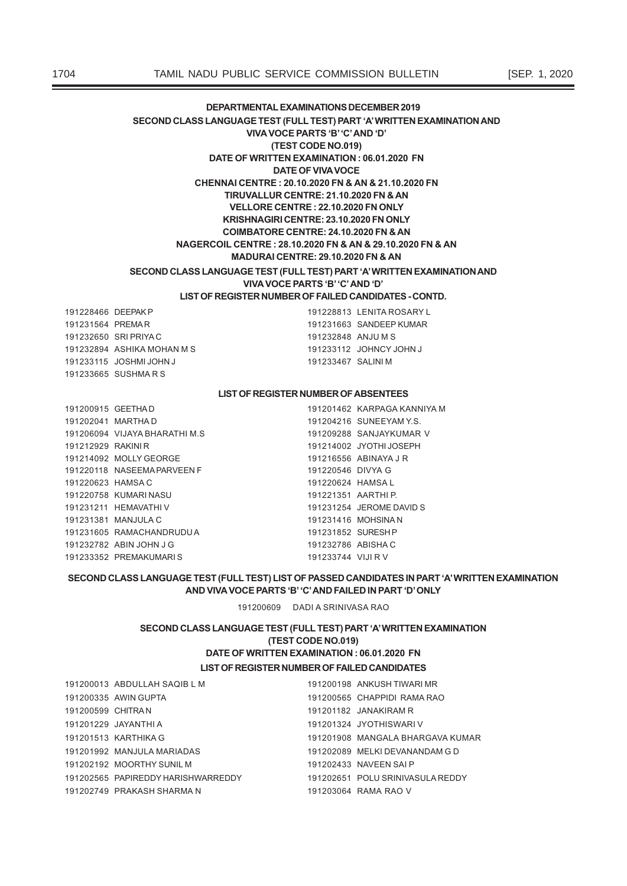## **LIST OF REGISTER NUMBER OF FAILED CANDIDATES - CONTD.**

191228466 DEEPAKP 191228813 LENITA ROSARY L 191231564 PREMAR 191231663 SANDEEP KUMAR 191232650 SRI PRIYAC 191232848 ANJU M S \$6+,.\$02+\$106 -2+1&<-2+1- 191233115 JOSHMI JOHN J 191233467 SALINI M 191233665 SUSHMARS

## **LIST OF REGISTER NUMBER OF ABSENTEES**

| 191200915 GEETHAD  |                               |                     | 191201462 KARPAGA KANNIYA M |
|--------------------|-------------------------------|---------------------|-----------------------------|
| 191202041 MARTHA D |                               |                     | 191204216 SUNEEYAM Y.S.     |
|                    | 191206094 VIJAYA BHARATHI M.S |                     | 191209288 SANJAYKUMAR V     |
| 191212929 RAKINI R |                               |                     | 191214002 JYOTHI JOSEPH     |
|                    | 191214092 MOLLY GEORGE        |                     | 191216556 ABINAYA J R       |
|                    | 191220118 NASEEMA PARVEEN F   | 191220546 DIVYA G   |                             |
| 191220623 HAMSA C  |                               | 191220624 HAMSA L   |                             |
|                    | 191220758 KUMARI NASU         | 191221351 AARTHI P. |                             |
|                    | 191231211 HEMAVATHIV          |                     | 191231254 JEROME DAVID S    |
|                    | 191231381 MANJULA C           |                     | 191231416 MOHSINA N         |
|                    | 191231605 RAMACHANDRUDUA      | 191231852 SURESH P  |                             |
|                    | 191232782 ABIN JOHN J G       | 191232786 ABISHA C  |                             |
|                    | 191233352 PREMAKUMARIS        | 191233744 VIJI R V  |                             |

## SECOND CLASS LANGUAGE TEST (FULL TEST) LIST OF PASSED CANDIDATES IN PART 'A' WRITTEN EXAMINATION **AND VIVA VOCE PARTS 'B' 'C' AND FAILED IN PART 'D' ONLY**

191200609 DADI A SRINIVASA RAO

## **LIST OF REGISTER NUMBER OF FAILED CANDIDATES** SECOND CLASS LANGUAGE TEST (FULL TEST) PART 'A' WRITTEN EXAMINATION **(TEST CODE NO.019) DATE OF WRITTEN EXAMINATION : 06.01.2020 FN**

|                   | 191200013 ABDULLAH SAQIB L M         | 191200198 ANKUSH TIWARI MR       |
|-------------------|--------------------------------------|----------------------------------|
|                   | 191200335 AWIN GUPTA                 | 191200565 CHAPPIDI RAMA RAO      |
| 191200599 CHITRAN |                                      | $191201182$ JANAKIRAM R          |
|                   | 191201229 JAYANTHI A                 | 191201324 JYOTHISWARI V          |
|                   | 191201513 KARTHIKA G                 | 191201908 MANGALA BHARGAVA KUMAR |
|                   | 191201992 MANJULA MARIADAS           | 191202089 MELKI DEVANANDAM G D   |
|                   | 191202192 MOORTHY SUNIL M            | 191202433 NAVEEN SAI P           |
|                   | 191202565   PAPIREDDY HARISHWARREDDY | 191202651 POLU SRINIVASULA REDDY |
|                   | 191202749 PRAKASH SHARMA N           | 191203064 RAMA RAO V             |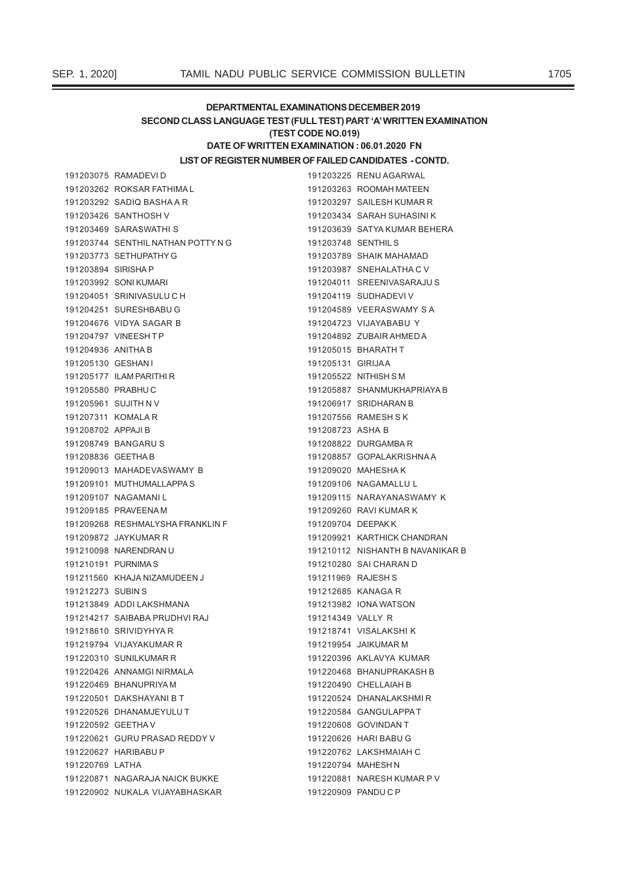## DEPARTMENTAL EXAMINATIONS DECEMBER 2019 SECOND CLASS LANGUAGE TEST (FULL TEST) PART 'A' WRITTEN EXAMINATION (TEST CODE NO.019)

## DATE OF WRITTEN EXAMINATION : 06.01.2020 FN

## LIST OF REGISTER NUMBER OF FAILED CANDIDATES - CONTD.

|                     | 191203075 RAMADEVID                |                     | 191203225 RENU AGARWAL           |
|---------------------|------------------------------------|---------------------|----------------------------------|
|                     | 191203262 ROKSAR FATHIMA L         |                     | 191203263 ROOMAH MATEEN          |
|                     | 191203292 SADIQ BASHA A R          |                     | 191203297 SAILESH KUMAR R        |
|                     | 191203426 SANTHOSH V               |                     | 191203434 SARAH SUHASINI K       |
|                     | 191203469 SARASWATHIS              |                     | 191203639 SATYA KUMAR BEHERA     |
|                     | 191203744 SENTHIL NATHAN POTTY N G | 191203748 SENTHIL S |                                  |
|                     | 191203773 SETHUPATHY G             |                     | 191203789 SHAIK MAHAMAD          |
| 191203894 SIRISHA P |                                    |                     | 191203987 SNEHALATHA C V         |
|                     | 191203992 SONI KUMARI              |                     | 191204011 SREENIVASARAJU S       |
|                     | 191204051 SRINIVASULU C H          |                     | 191204119 SUDHADEVI V            |
|                     | 191204251 SURESHBABU G             |                     | 191204589 VEERASWAMY S A         |
|                     | 191204676 VIDYA SAGAR B            |                     | 191204723 VIJAYABABU Y           |
|                     | 191204797 VINEESHTP                |                     | 191204892 ZUBAIR AHMED A         |
| 191204936 ANITHA B  |                                    |                     | 191205015 BHARATH T              |
| 191205130 GESHAN I  |                                    | 191205131 GIRIJAA   |                                  |
|                     | 191205177 ILAM PARITHIR            |                     | 191205522 NITHISH S M            |
| 191205580 PRABHUC   |                                    |                     | 191205887 SHANMUKHAPRIAYA B      |
|                     | 191205961 SUJITH N V               |                     | 191206917 SRIDHARAN B            |
|                     | 191207311 KOMALA R                 |                     | 191207556 RAMESH S K             |
| 191208702 APPAJIB   |                                    | 191208723 ASHA B    |                                  |
|                     | 191208749 BANGARU S                |                     | 191208822 DURGAMBA R             |
| 191208836 GEETHA B  |                                    |                     | 191208857 GOPALAKRISHNAA         |
|                     | 191209013 MAHADEVASWAMY B          |                     | 191209020 MAHESHA K              |
|                     | 191209101 MUTHUMALLAPPAS           |                     | 191209106 NAGAMALLU L            |
|                     | 191209107 NAGAMANIL                |                     | 191209115 NARAYANASWAMY K        |
|                     | 191209185 PRAVEENA M               |                     | 191209260 RAVI KUMAR K           |
|                     | 191209268 RESHMALYSHA FRANKLIN F   | 191209704 DEEPAKK   |                                  |
|                     | 191209872 JAYKUMAR R               |                     | 191209921 KARTHICK CHANDRAN      |
|                     | 191210098 NARENDRAN U              |                     | 191210112 NISHANTH B NAVANIKAR B |
|                     | 191210191 PURNIMAS                 |                     | 191210280 SAI CHARAN D           |
|                     | 191211560 KHAJA NIZAMUDEEN J       | 191211969 RAJESH S  |                                  |
| 191212273 SUBIN S   |                                    | 191212685 KANAGA R  |                                  |
|                     | 191213849 ADDI LAKSHMANA           |                     | 191213982 IONA WATSON            |
|                     | 191214217 SAIBABA PRUDHVI RAJ      | 191214349 VALLY R   |                                  |
|                     | 191218610 SRIVIDYHYA R             |                     | 191218741 VISALAKSHI K           |
|                     | 191219794 VIJAYAKUMAR R            |                     | 191219954 JAIKUMAR M             |
|                     | 191220310 SUNILKUMAR R             |                     | 191220396 AKLAVYA KUMAR          |
|                     | 191220426 ANNAMGI NIRMALA          |                     | 191220468 BHANUPRAKASH B         |
|                     | 191220469 BHANUPRIYAM              |                     | 191220490 CHELLAIAH B            |
|                     | 191220501 DAKSHAYANI B T           |                     | 191220524 DHANALAKSHMIR          |
|                     | 191220526 DHANAMJEYULU T           |                     | 191220584 GANGULAPPAT            |
| 191220592 GEETHA V  |                                    |                     | 191220608 GOVINDAN T             |
|                     | 191220621 GURU PRASAD REDDY V      |                     | 191220626 HARI BABU G            |
|                     | 191220627 HARIBABU P               |                     | 191220762 LAKSHMAIAH C           |
| 191220769 LATHA     |                                    | 191220794 MAHESHN   |                                  |
|                     | 191220871 NAGARAJA NAICK BUKKE     |                     | 191220881 NARESH KUMAR P V       |
|                     | 191220902 NUKALA VIJAYABHASKAR     |                     | 191220909 PANDUCP                |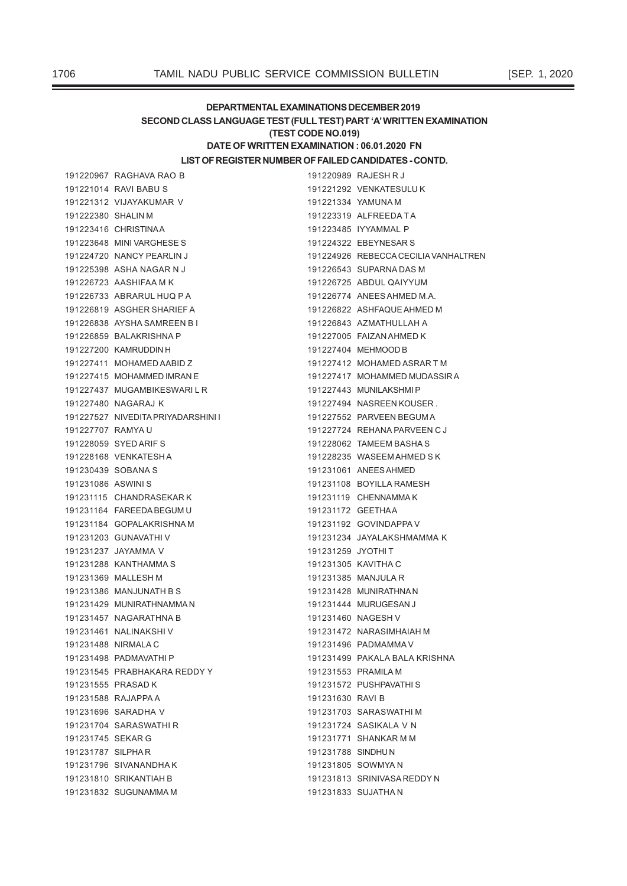## DEPARTMENTAL EXAMINATIONS DECEMBER 2019 SECOND CLASS LANGUAGE TEST (FULL TEST) PART 'A' WRITTEN EXAMINATION (TEST CODE NO.019) DATE OF WRITTEN EXAMINATION : 06.01.2020 FN

## LIST OF REGISTER NUMBER OF FAILED CANDIDATES - CONTD.

191220967 RAGHAVA RAO B 191221014 RAVI BABU S 191221312 VIJAYAKUMAR V 191222380 SHALIN M 191223416 CHRISTINAA 191223648 MINI VARGHESES 191224720 NANCY PEARLIN J 191225398 ASHA NAGAR N J 191226723 AASHIFAA M K 191226733 ABRARUL HUQ P A 191226819 ASGHER SHARIEF A 191226838 AYSHA SAMREEN BI 191226859 BALAKRISHNA P 191227200 KAMRUDDIN H 191227411 MOHAMED AABID Z 191227415 MOHAMMED IMRAN E 191227437 MUGAMBIKESWARILR 191227480 NAGARAJ K 191227527 NIVEDITA PRIYADARSHINI I 191227707 RAMYA U 191228059 SYED ARIF S 191228168 VENKATESHA 191230439 SOBANA S 191231086 ASWINIS 191231115 CHANDRASEKARK 191231164 FAREEDA BEGUM U 191231184 GOPALAKRISHNAM 191231203 GUNAVATHI V 191231237 JAYAMMA V 191231288 KANTHAMMA S 191231369 MALLESH M 191231386 MANJUNATH B S 191231429 MUNIRATHNAMMAN 191231457 NAGARATHNA B 191231461 NALINAKSHIV 191231488 NIRMALA C 191231498 PADMAVATHI P 191231545 PRABHAKARA REDDY Y 191231555 PRASAD K 191231588 RAJAPPA A 191231696 SARADHA V 191231704 SARASWATHIR 191231745 SEKAR G 191231787 SILPHAR 191231796 SIVANANDHAK 191231810 SRIKANTIAH B 191231832 SUGUNAMMA M

|                   | 191220989 RAJESH R J                 |
|-------------------|--------------------------------------|
|                   | 191221292 VENKATESULUK               |
|                   | 191221334 YAMUNA M                   |
|                   | 191223319 ALFREEDATA                 |
|                   | 191223485 IYYAMMAL P                 |
|                   | 191224322 EBEYNESAR S                |
|                   | 191224926 REBECCA CECILIA VANHALTREN |
|                   | 191226543 SUPARNA DAS M              |
|                   | 191226725 ABDUL QAIYYUM              |
|                   | 191226774 ANEES AHMED M.A.           |
|                   | 191226822 ASHFAQUE AHMED M           |
|                   | 191226843 AZMATHULLAH A              |
|                   | 191227005 FAIZAN AHMED K             |
|                   | 191227404 MEHMOOD B                  |
|                   | 191227412 MOHAMED ASRAR TM           |
|                   | 191227417 MOHAMMED MUDASSIR A        |
|                   | 191227443 MUNILAKSHMIP               |
|                   | 191227494 NASREEN KOUSER.            |
|                   | 191227552 PARVEEN BEGUMA             |
|                   | 191227724 REHANA PARVEEN CJ          |
|                   | 191228062 TAMEEM BASHAS              |
|                   | 191228235 WASEEM AHMED SK            |
|                   | 191231061 ANEES AHMED                |
|                   | 191231108 BOYILLA RAMESH             |
|                   | 191231119 CHENNAMMAK                 |
|                   | 191231172 GEETHAA                    |
|                   | 191231192 GOVINDAPPA V               |
|                   | 191231234 JAYALAKSHMAMMA K           |
| 191231259 JYOTHIT |                                      |
|                   | 191231305 KAVITHA C                  |
|                   | 191231385 MANJULA R                  |
|                   | 191231428 MUNIRATHNAN                |
|                   | 191231444 MURUGESAN J                |
|                   | 191231460 NAGESH V                   |
|                   | 191231472 NARASIMHAIAH M             |
|                   | 191231496 PADMAMMAV                  |
|                   | 191231499 PAKALA BALA KRISHNA        |
|                   | 191231553 PRAMILA M                  |
|                   | 191231572 PUSHPAVATHIS               |
| 191231630 RAVI B  |                                      |
|                   | 191231703 SARASWATHIM                |
|                   | 191231724 SASIKALA V N               |
|                   | 191231771 SHANKAR M M                |
| 191231788 SINDHUN |                                      |
|                   | 191231805 SOWMYAN                    |
|                   | 191231813 SRINIVASA REDDY N          |
|                   | 191231833 SUJATHA N                  |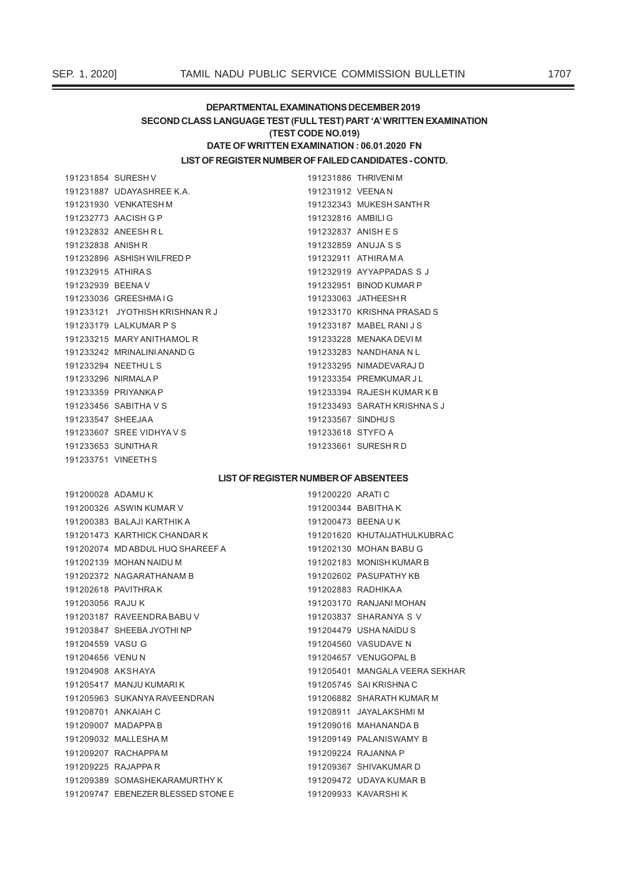## DEPARTMENTAL EXAMINATIONS DECEMBER 2019 SECOND CLASS LANGUAGE TEST (FULL TEST) PART 'A' WRITTEN EXAMINATION (TEST CODE NO.019) DATE OF WRITTEN EXAMINATION : 06.01.2020 FN

## LIST OF REGISTER NUMBER OF FAILED CANDIDATES - CONTD.

191231854 SURESH V 191231887 UDAYASHREE K.A. 191231930 VENKATESH M 191232773 AACISH G P 191232832 ANFESH RI 191232838 ANISH R 191232896 ASHISH WILFRED P 191232915 ATHIRAS 191232939 BEENAV 191233036 GREESHMAIG 191233121 JYOTHISH KRISHNAN R J 191233179 LALKUMAR P S 191233215 MARY ANITHAMOL R 191233242 MRINALINI ANAND G 191233294 NEETHULS 191233296 NIRMALA P 191233359 PRIYANKA P 191233456 SABITHA V S 191233547 SHEEJAA 191233607 SREE VIDHYAVS 191233653 SUNITHAR 191233751 VINEETH S

191231886 THRIVENIM 191231912 VEENAN 191232343 MUKESH SANTH R 191232816 AMBILI G 191232837 ANISH ES 191232859 ANUJA S S 191232911 ATHIRAMA 191232919 AYYAPPADAS S J 191232951 BINOD KUMAR P 191233063 JATHEESH R 191233170 KRISHNA PRASAD S 191233187 MABEL RANI J S 191233228 MENAKA DEVI M 191233283 NANDHANA N L 191233295 NIMADEVARAJ D 191233354 PREMKUMAR JI 191233394 RAJESH KUMAR K B 191233493 SARATH KRISHNAS J 191233567 SINDHUS 191233618 STYFO A 191233661 SURESHRD

## **LIST OF REGISTER NUMBER OF ABSENTEES**

| 191200028 ADAMUK  |                                    | 191200220 ARATIC  |                                |
|-------------------|------------------------------------|-------------------|--------------------------------|
|                   | 191200326 ASWIN KUMAR V            |                   | 191200344 BABITHA K            |
|                   | 191200383 BALAJI KARTHIK A         | 191200473 BEENAUK |                                |
|                   | 191201473 KARTHICK CHANDAR K       |                   | 191201620 KHUTAIJATHULKUBRAC   |
|                   | 191202074 MD ABDUL HUQ SHAREEF A   |                   | 191202130 MOHAN BABU G         |
|                   | 191202139 MOHAN NAIDU M            |                   | 191202183 MONISH KUMAR B       |
|                   | 191202372 NAGARATHANAM B           |                   | 191202602 PASUPATHY KB         |
|                   | 191202618 PAVITHRAK                |                   | 191202883 RADHIKAA             |
| 191203056 RAJU K  |                                    |                   | 191203170 RANJANI MOHAN        |
|                   | 191203187 RAVEENDRA BABU V         |                   | 191203837 SHARANYA S V         |
|                   | 191203847 SHEEBA JYOTHI NP         |                   | 191204479 USHA NAIDU S         |
| 191204559 VASU G  |                                    |                   | 191204560 VASUDAVE N           |
| 191204656 VENUN   |                                    |                   | 191204657 VENUGOPAL B          |
| 191204908 AKSHAYA |                                    |                   | 191205401 MANGALA VEERA SEKHAR |
|                   | 191205417 MANJU KUMARI K           |                   | 191205745 SAI KRISHNA C        |
|                   | 191205963 SUKANYA RAVEENDRAN       |                   | 191206882 SHARATH KUMAR M      |
|                   | 191208701 ANKAIAH C                |                   | 191208911 JAYALAKSHMIM         |
|                   | 191209007 MADAPPA B                |                   | 191209016 MAHANANDA B          |
|                   | 191209032 MALLESHAM                |                   | 191209149 PALANISWAMY B        |
|                   | 191209207 RACHAPPA M               |                   | 191209224 RAJANNA P            |
|                   | 191209225 RAJAPPA R                |                   | 191209367 SHIVAKUMAR D         |
|                   | 191209389 SOMASHEKARAMURTHYK       |                   | 191209472 UDAYA KUMAR B        |
|                   | 191209747 EBENEZER BLESSED STONE E |                   | 191209933 KAVARSHIK            |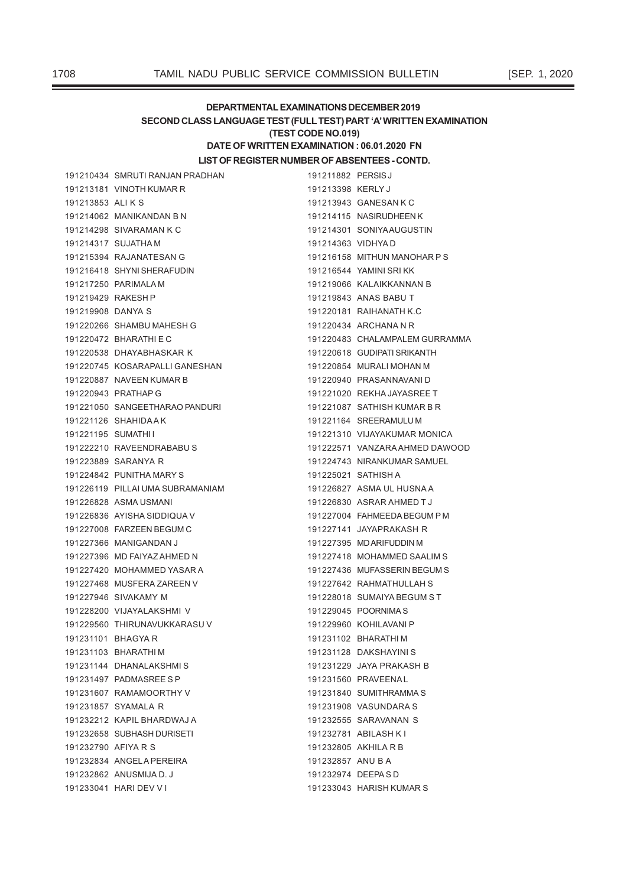## DEPARTMENTAL EXAMINATIONS DECEMBER 2019 SECOND CLASS LANGUAGE TEST (FULL TEST) PART 'A' WRITTEN EXAMINATION (TEST CODE NO.019) DATE OF WRITTEN EXAMINATION : 06.01.2020 FN

LIST OF REGISTER NUMBER OF ABSENTEES - CONTD.

191211882 PERSIS J

|                     | 191210434 SMRUTI RANJAN PRADHAN  | 191211882 PERSIS J |                                |
|---------------------|----------------------------------|--------------------|--------------------------------|
|                     | 191213181 VINOTH KUMAR R         | 191213398 KERLYJ   |                                |
| 191213853 ALIKS     |                                  |                    | 191213943 GANESAN K C          |
|                     | 191214062 MANIKANDAN B N         |                    | 191214115 NASIRUDHEEN K        |
|                     | 191214298 SIVARAMAN K C          |                    | 191214301 SONIYAAUGUSTIN       |
|                     | 191214317 SUJATHA M              | 191214363 VIDHYAD  |                                |
|                     | 191215394 RAJANATESAN G          |                    | 191216158 MITHUN MANOHAR PS    |
|                     | 191216418 SHYNISHERAFUDIN        |                    | 191216544 YAMINI SRIKK         |
|                     | 191217250 PARIMALA M             |                    | 191219066 KALAIKKANNAN B       |
| 191219429 RAKESH P  |                                  |                    | 191219843 ANAS BABU T          |
| 191219908 DANYA S   |                                  |                    | 191220181 RAIHANATH K.C        |
|                     | 191220266 SHAMBU MAHESH G        |                    | 191220434 ARCHANA N R          |
|                     | 191220472 BHARATHI E C           |                    | 191220483 CHALAMPALEM GURRAMMA |
|                     | 191220538 DHAYABHASKAR K         |                    | 191220618 GUDIPATI SRIKANTH    |
|                     | 191220745 KOSARAPALLI GANESHAN   |                    | 191220854 MURALI MOHAN M       |
|                     | 191220887 NAVEEN KUMAR B         |                    | 191220940 PRASANNAVANI D       |
|                     | 191220943 PRATHAP G              |                    | 191221020 REKHA JAYASREE T     |
|                     | 191221050 SANGEETHARAO PANDURI   |                    | 191221087 SATHISH KUMAR B R    |
|                     | 191221126 SHAHIDAAK              |                    | 191221164 SREERAMULU M         |
| 191221195 SUMATHII  |                                  |                    | 191221310 VIJAYAKUMAR MONICA   |
|                     | 191222210 RAVEENDRABABUS         |                    | 191222571 VANZARA AHMED DAWOOD |
|                     | 191223889 SARANYA R              |                    | 191224743 NIRANKUMAR SAMUEL    |
|                     | 191224842 PUNITHA MARY S         |                    | 191225021 SATHISH A            |
|                     | 191226119 PILLAI UMA SUBRAMANIAM |                    | 191226827 ASMA UL HUSNA A      |
|                     | 191226828 ASMA USMANI            |                    | 191226830 ASRAR AHMED T J      |
|                     | 191226836 AYISHA SIDDIQUA V      |                    | 191227004 FAHMEEDA BEGUM P M   |
|                     | 191227008 FARZEEN BEGUM C        |                    | 191227141 JAYAPRAKASH R        |
|                     | 191227366 MANIGANDAN J           |                    | 191227395 MD ARIFUDDIN M       |
|                     | 191227396 MD FAIYAZ AHMED N      |                    | 191227418 MOHAMMED SAALIM S    |
|                     | 191227420 MOHAMMED YASAR A       |                    | 191227436 MUFASSERIN BEGUM S   |
|                     | 191227468 MUSFERA ZAREEN V       |                    | 191227642 RAHMATHULLAH S       |
|                     | 191227946 SIVAKAMY M             |                    | 191228018 SUMAIYA BEGUM ST     |
|                     | 191228200 VIJAYALAKSHMI V        |                    | 191229045 POORNIMAS            |
|                     | 191229560 THIRUNAVUKKARASU V     |                    | 191229960 KOHILAVANI P         |
|                     | 191231101 BHAGYAR                |                    | 191231102 BHARATHI M           |
|                     | 191231103 BHARATHIM              |                    | 191231128 DAKSHAYINI S         |
|                     | 191231144 DHANALAKSHMIS          |                    | 191231229 JAYA PRAKASH B       |
|                     | 191231497 PADMASREE S P          |                    | 191231560 PRAVEENAL            |
|                     | 191231607 RAMAMOORTHY V          |                    | 191231840 SUMITHRAMMAS         |
|                     | 191231857 SYAMALA R              |                    | 191231908 VASUNDARA S          |
|                     | 191232212 KAPIL BHARDWAJ A       |                    | 191232555 SARAVANAN S          |
|                     | 191232658 SUBHASH DURISETI       |                    | 191232781 ABILASH K I          |
| 191232790 AFIYA R S |                                  |                    | 191232805 AKHILA R B           |
|                     | 191232834 ANGELA PEREIRA         | 191232857 ANU B A  |                                |
|                     | 191232862 ANUSMIJA D. J.         | 191232974 DEEPASD  |                                |
|                     | 191233041 HARI DEV V I           |                    | 191233043 HARISH KUMAR S       |

1708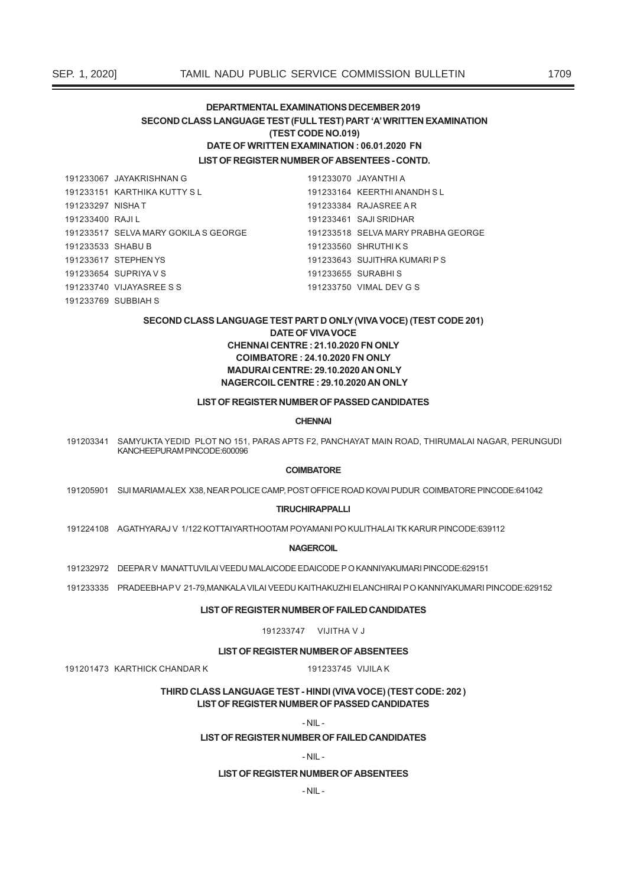## DEPARTMENTAL EXAMINATIONS DECEMBER 2019 SECOND CLASS LANGUAGE TEST (FULL TEST) PART 'A' WRITTEN EXAMINATION (TEST CODE NO.019) DATE OF WRITTEN EXAMINATION : 06.01.2020 FN **I IST OF REGISTER NUMBER OF ABSENTEES - CONTD.**

191233067 JAYAKRISHNAN G 191233070 JAYANTHI A 191233151 KARTHIKA KUTTY SI 191233164 KFFRTHLANANDH SI 191233297 NISHAT 191233384 RAJASREE AR 191233400 RAJIL 191233461 SAJI SRIDHAR 191233517 SELVA MARY GOKILA S GEORGE 191233518 SELVA MARY PRABHA GEORGE 191233533 SHABU B 191233560 SHRUTHIKS 191233617 STEPHEN YS 191233643 SUJITHRA KUMARI P S 191233654 SUPRIYAVS 191233655 SURABHIS 191233740 VIJAYASRFF S S 191233750 VIMAL DEV G S 191233769 SUBBIAH S

## SECOND CLASS LANGUAGE TEST PART D ONLY (VIVA VOCE) (TEST CODE 201) **DATE OF VIVA VOCE** CHENNAI CENTRE: 21.10.2020 FN ONLY **COIMBATORE: 24.10.2020 FN ONLY** MADURAI CENTRE: 29.10.2020 AN ONLY NAGERCOIL CENTRE: 29.10.2020 AN ONLY

## LIST OF REGISTER NUMBER OF PASSED CANDIDATES

## **CHFNNAI**

191203341 SAMYUKTA YEDID PLOT NO 151, PARAS APTS F2, PANCHAYAT MAIN ROAD, THIRUMALAI NAGAR, PERUNGUDI KANCHEEPURAM PINCODE:600096

## **COIMBATORE**

191205901 SIJI MARIAM ALEX X38, NEAR POLICE CAMP, POST OFFICE ROAD KOVAI PUDUR COIMBATORE PINCODE:641042

#### **TIRUCHIRAPPALLI**

191224108 AGATHYARAJ V 1/122 KOTTAIYARTHOOTAM POYAMANI PO KULITHALAI TK KARUR PINCODE:639112

**NAGERCOIL** 

191232972 DEEPAR V MANATTUVILAI VEEDU MALAICODE EDAICODE P O KANNIYAKUMARI PINCODE:629151

191201473 KARTHICK CHANDAR K

191233335 PRADEEBHAPV 21-79, MANKALA VILAI VEEDU KAITHAKUZHI ELANCHIRAI PO KANNIYAKUMARI PINCODE:629152

#### LIST OF REGISTER NUMBER OF FAILED CANDIDATES

191233747 VILITHA V.I

**LIST OF REGISTER NUMBER OF ABSENTEES** 

#### 191233745 VIJILAK

THIRD CLASS LANGUAGE TEST - HINDI (VIVA VOCE) (TEST CODE: 202) LIST OF REGISTER NUMBER OF PASSED CANDIDATES

 $-NIL -$ 

## LIST OF REGISTER NUMBER OF FAILED CANDIDATES

 $-NII -$ 

## **LIST OF REGISTER NUMBER OF ABSENTEES**

 $-NIL -$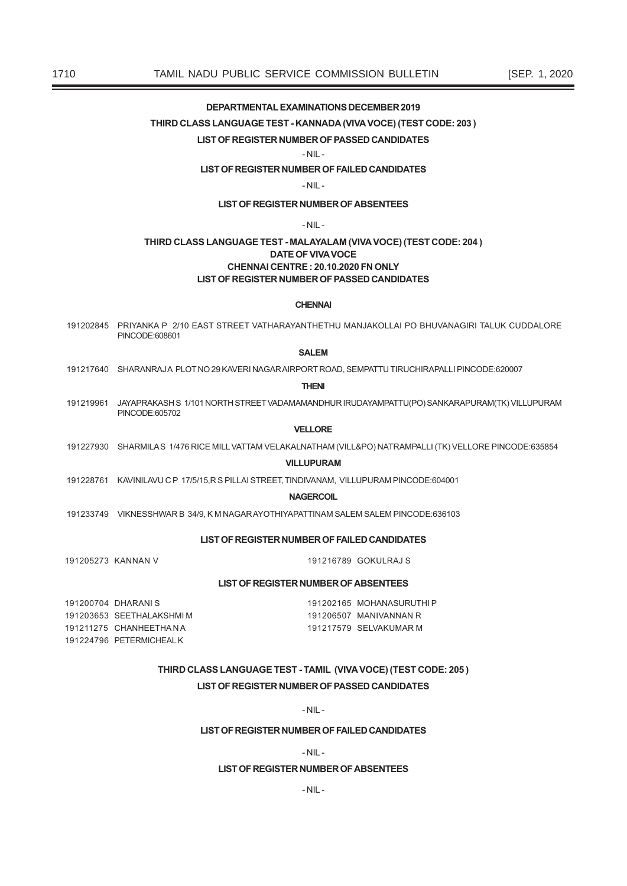## **DEPARTMENTAL EXAMINATIONS DECEMBER 2019**

THIRD CLASS LANGUAGE TEST - KANNADA (VIVA VOCE) (TEST CODE: 203)

## LIST OF REGISTER NUMBER OF PASSED CANDIDATES

## $-NIL -$

LIST OF REGISTER NUMBER OF FAILED CANDIDATES

 $-NIL -$ 

## **LIST OF REGISTER NUMBER OF ABSENTEES**

## $-NII -$

## THIRD CLASS LANGUAGE TEST - MALAYALAM (VIVA VOCE) (TEST CODE: 204) **DATE OF VIVA VOCE** CHENNAI CENTRE: 20.10.2020 FN ONLY **LIST OF REGISTER NUMBER OF PASSED CANDIDATES**

## **CHENNAI**

191202845 PRIYANKA P 2/10 EAST STREET VATHARAYANTHETHU MANJAKOLLAI PO BHUVANAGIRI TALUK CUDDALORE PINCODE:608601

## **SALEM**

191217640 SHARANRAJA PLOTNO 29 KAVERI NAGARAIRPORT ROAD, SEMPATTU TIRUCHIRAPALLI PINCODE:620007

#### **THENI**

191219961 JAYAPRAKASH S 1/101 NORTH STREET VADAMAMANDHUR IRUDAYAMPATTU(PO) SANKARAPURAM(TK) VILLUPURAM PINCODE:605702

## **VELLORE**

191227930 SHARMILAS 1/476 RICE MILL VATTAM VELAKALNATHAM (VILL&PO) NATRAMPALLI (TK) VELLORE PINCODE:635854

#### **VILLUPURAM**

191228761 KAVINILAVU C P 17/5/15, R S PILLAI STREET, TINDIVANAM, VILLUPURAM PINCODE:604001

## **NAGERCOIL**

191233749 VIKNESSHWAR B 34/9, K M NAGAR AYOTHIYAPATTINAM SALEM SALEM PINCODE:636103

#### LIST OF REGISTER NUMBER OF FAILED CANDIDATES

191205273 KANNAN V

191216789 GOKULRAJ S

## **LIST OF REGISTER NUMBER OF ABSENTEES**

191200704 DHARANIS 191203653 SEETHALAKSHMIM 191211275 CHANHEETHANA 191224796 PETERMICHEALK

191202165 MOHANASURUTHIP 191206507 MANIVANNAN R 191217579 SELVAKUMAR M

## THIRD CLASS LANGUAGE TEST - TAMIL (VIVA VOCE) (TEST CODE: 205) LIST OF REGISTER NUMBER OF PASSED CANDIDATES

 $-NII -$ 

## LIST OF REGISTER NUMBER OF FAILED CANDIDATES

 $-NII -$ 

## **I IST OF REGISTER NUMBER OF ABSENTEES**